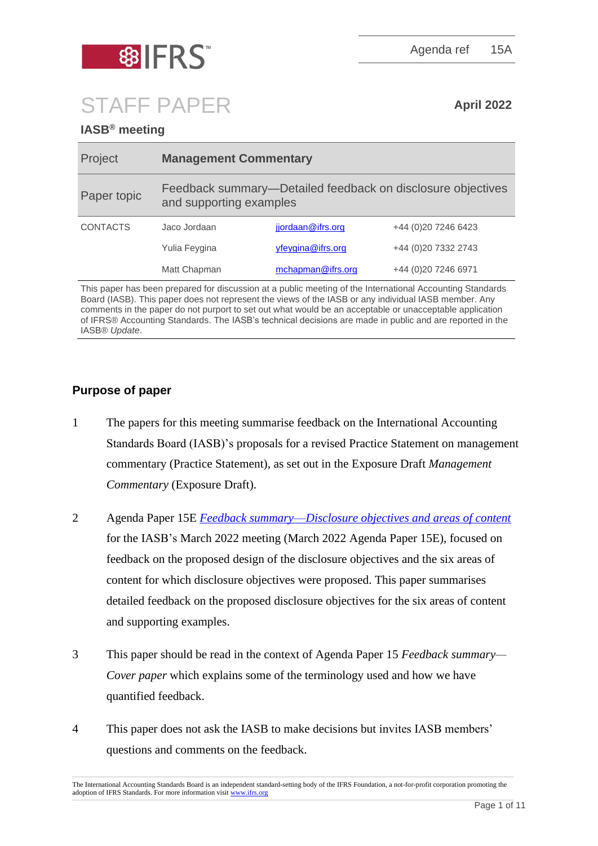

Agenda ref 15A

# STAFF PAPER **April <sup>2022</sup>**

# **IASB® meeting**

| Project         | <b>Management Commentary</b>                                                           |                   |                      |
|-----------------|----------------------------------------------------------------------------------------|-------------------|----------------------|
| Paper topic     | Feedback summary—Detailed feedback on disclosure objectives<br>and supporting examples |                   |                      |
| <b>CONTACTS</b> | Jaco Jordaan                                                                           | jjordaan@ifrs.org | +44 (0) 20 7246 6423 |
|                 | Yulia Feygina                                                                          | yfeygina@ifrs.org | +44 (0)20 7332 2743  |
|                 | Matt Chapman                                                                           | mchapman@ifrs.org | +44 (0) 20 7246 6971 |
|                 |                                                                                        |                   |                      |

This paper has been prepared for discussion at a public meeting of the International Accounting Standards Board (IASB). This paper does not represent the views of the IASB or any individual IASB member. Any comments in the paper do not purport to set out what would be an acceptable or unacceptable application of IFRS® Accounting Standards. The IASB's technical decisions are made in public and are reported in the IASB® *Update*.

# **Purpose of paper**

- 1 The papers for this meeting summarise feedback on the International Accounting Standards Board (IASB)'s proposals for a revised Practice Statement on management commentary (Practice Statement), as set out in the Exposure Draft *Management Commentary* (Exposure Draft).
- 2 Agenda Paper 15E *Feedback summary*—*[Disclosure objectives and areas of content](https://www.ifrs.org/content/dam/ifrs/meetings/2022/march/iasb/ap15e-disclosure-objectives-and-areas-of-content.pdf)* for the IASB's March 2022 meeting (March 2022 Agenda Paper 15E), focused on feedback on the proposed design of the disclosure objectives and the six areas of content for which disclosure objectives were proposed. This paper summarises detailed feedback on the proposed disclosure objectives for the six areas of content and supporting examples.
- 3 This paper should be read in the context of Agenda Paper 15 *Feedback summary— Cover paper* which explains some of the terminology used and how we have quantified feedback.
- 4 This paper does not ask the IASB to make decisions but invites IASB members' questions and comments on the feedback.

The International Accounting Standards Board is an independent standard-setting body of the IFRS Foundation, a not-for-profit corporation promoting the adoption of IFRS Standards. For more information visi[t www.ifrs.org](http://www.ifrs.org/)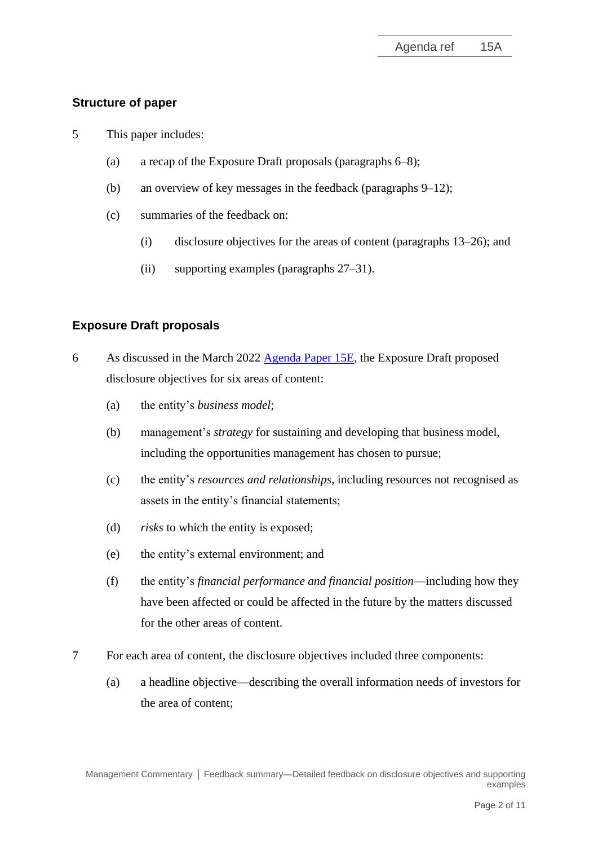# **Structure of paper**

- 5 This paper includes:
	- (a) a recap of the Exposure Draft proposals (paragraphs 6–8);
	- (b) an overview of key messages in the feedback (paragraphs 9–12);
	- (c) summaries of the feedback on:
		- (i) disclosure objectives for the areas of content (paragraphs 13–26); and
		- (ii) supporting examples (paragraphs 27–31).

# **Exposure Draft proposals**

- 6 As discussed in the March 2022 [Agenda Paper 15E](https://www.ifrs.org/content/dam/ifrs/meetings/2022/march/iasb/ap15e-disclosure-objectives-and-areas-of-content.pdf)*,* the Exposure Draft proposed disclosure objectives for six areas of content:
	- (a) the entity's *business model*;
	- (b) management's *strategy* for sustaining and developing that business model, including the opportunities management has chosen to pursue;
	- (c) the entity's *resources and relationships*, including resources not recognised as assets in the entity's financial statements;
	- (d) *risks* to which the entity is exposed;
	- (e) the entity's external environment; and
	- (f) the entity's *financial performance and financial position*—including how they have been affected or could be affected in the future by the matters discussed for the other areas of content.
- 7 For each area of content, the disclosure objectives included three components:
	- (a) a headline objective—describing the overall information needs of investors for the area of content;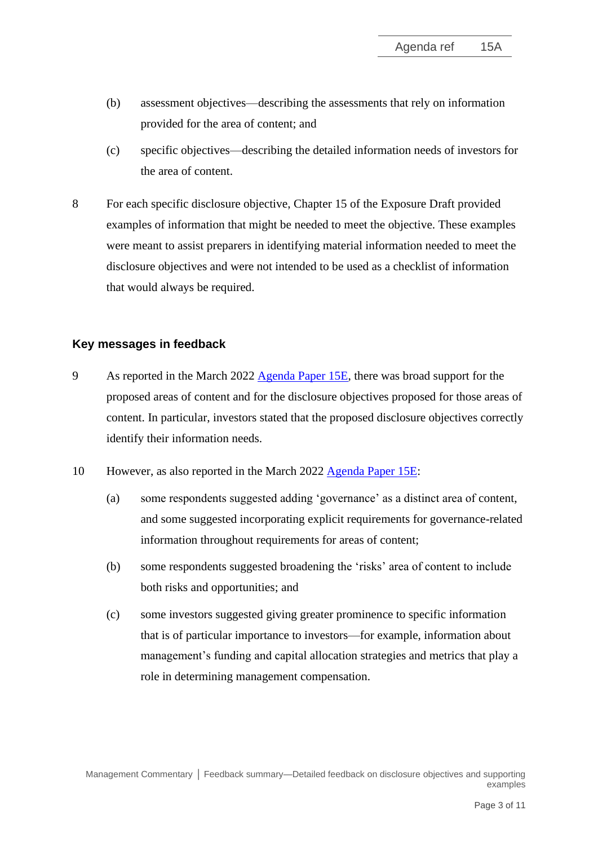- (b) assessment objectives—describing the assessments that rely on information provided for the area of content; and
- (c) specific objectives—describing the detailed information needs of investors for the area of content.
- 8 For each specific disclosure objective, Chapter 15 of the Exposure Draft provided examples of information that might be needed to meet the objective. These examples were meant to assist preparers in identifying material information needed to meet the disclosure objectives and were not intended to be used as a checklist of information that would always be required.

# **Key messages in feedback**

- 9 As reported in the March 2022 [Agenda Paper 15E,](https://www.ifrs.org/content/dam/ifrs/meetings/2022/march/iasb/ap15e-disclosure-objectives-and-areas-of-content.pdf) there was broad support for the proposed areas of content and for the disclosure objectives proposed for those areas of content. In particular, investors stated that the proposed disclosure objectives correctly identify their information needs.
- 10 However, as also reported in the March 2022 [Agenda Paper 15E:](https://www.ifrs.org/content/dam/ifrs/meetings/2022/march/iasb/ap15e-disclosure-objectives-and-areas-of-content.pdf)
	- (a) some respondents suggested adding 'governance' as a distinct area of content, and some suggested incorporating explicit requirements for governance-related information throughout requirements for areas of content;
	- (b) some respondents suggested broadening the 'risks' area of content to include both risks and opportunities; and
	- (c) some investors suggested giving greater prominence to specific information that is of particular importance to investors—for example, information about management's funding and capital allocation strategies and metrics that play a role in determining management compensation.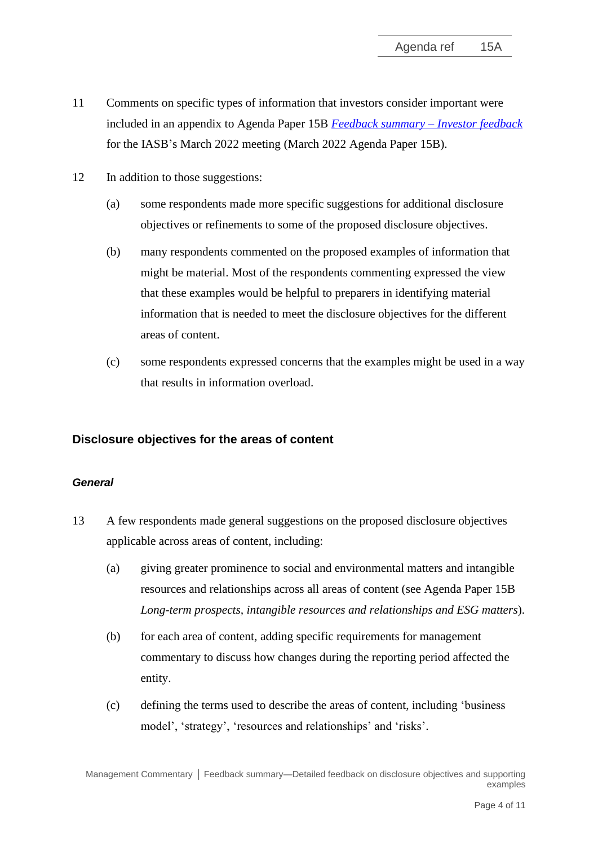- 11 Comments on specific types of information that investors consider important were included in an appendix to Agenda Paper 15B *[Feedback summary –](https://www.ifrs.org/content/dam/ifrs/meetings/2022/march/iasb/ap15b-investor-feedback.pdf) Investor feedback* for the IASB's March 2022 meeting (March 2022 Agenda Paper 15B).
- 12 In addition to those suggestions:
	- (a) some respondents made more specific suggestions for additional disclosure objectives or refinements to some of the proposed disclosure objectives.
	- (b) many respondents commented on the proposed examples of information that might be material. Most of the respondents commenting expressed the view that these examples would be helpful to preparers in identifying material information that is needed to meet the disclosure objectives for the different areas of content.
	- (c) some respondents expressed concerns that the examples might be used in a way that results in information overload.

# **Disclosure objectives for the areas of content**

#### *General*

- 13 A few respondents made general suggestions on the proposed disclosure objectives applicable across areas of content, including:
	- (a) giving greater prominence to social and environmental matters and intangible resources and relationships across all areas of content (see Agenda Paper 15B *Long-term prospects, intangible resources and relationships and ESG matters*).
	- (b) for each area of content, adding specific requirements for management commentary to discuss how changes during the reporting period affected the entity.
	- (c) defining the terms used to describe the areas of content, including 'business model', 'strategy', 'resources and relationships' and 'risks'.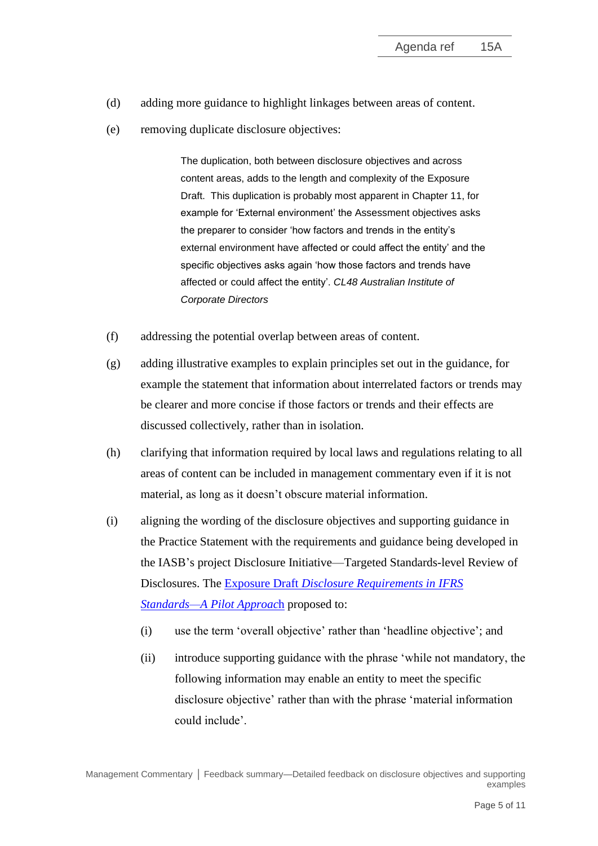- (d) adding more guidance to highlight linkages between areas of content.
- (e) removing duplicate disclosure objectives:

The duplication, both between disclosure objectives and across content areas, adds to the length and complexity of the Exposure Draft. This duplication is probably most apparent in Chapter 11, for example for 'External environment' the Assessment objectives asks the preparer to consider 'how factors and trends in the entity's external environment have affected or could affect the entity' and the specific objectives asks again 'how those factors and trends have affected or could affect the entity'. *CL48 Australian Institute of Corporate Directors*

- (f) addressing the potential overlap between areas of content.
- (g) adding illustrative examples to explain principles set out in the guidance, for example the statement that information about interrelated factors or trends may be clearer and more concise if those factors or trends and their effects are discussed collectively, rather than in isolation.
- (h) clarifying that information required by local laws and regulations relating to all areas of content can be included in management commentary even if it is not material, as long as it doesn't obscure material information.
- (i) aligning the wording of the disclosure objectives and supporting guidance in the Practice Statement with the requirements and guidance being developed in the IASB's project Disclosure Initiative—Targeted Standards-level Review of Disclosures. The Exposure Draft *[Disclosure Requirements in IFRS](https://www.ifrs.org/content/dam/ifrs/project/disclosure-initative/disclosure-initiative-principles-of-disclosure/ed2021-3-di-tslr.pdf)  [Standards—A Pilot Approac](https://www.ifrs.org/content/dam/ifrs/project/disclosure-initative/disclosure-initiative-principles-of-disclosure/ed2021-3-di-tslr.pdf)*h proposed to:
	- (i) use the term 'overall objective' rather than 'headline objective'; and
	- (ii) introduce supporting guidance with the phrase 'while not mandatory, the following information may enable an entity to meet the specific disclosure objective' rather than with the phrase 'material information could include'.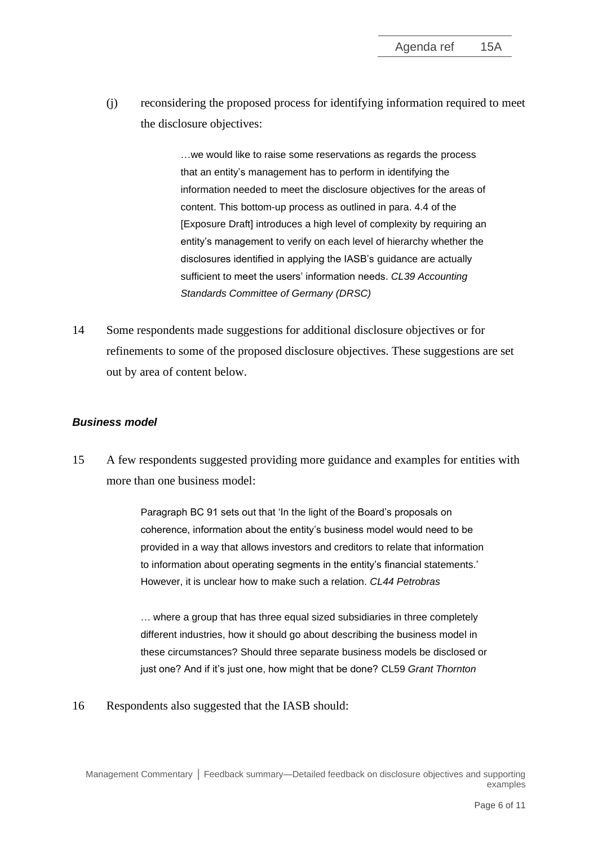(j) reconsidering the proposed process for identifying information required to meet the disclosure objectives:

> ... we would like to raise some reservations as regards the process that an entity's management has to perform in identifying the information needed to meet the disclosure objectives for the areas of content. This bottom-up process as outlined in para. 4.4 of the [Exposure Draft] introduces a high level of complexity by requiring an entity's management to verify on each level of hierarchy whether the disclosures identified in applying the IASB's guidance are actually sufficient to meet the users' information needs. *CL39 Accounting Standards Committee of Germany (DRSC)*

14 Some respondents made suggestions for additional disclosure objectives or for refinements to some of the proposed disclosure objectives. These suggestions are set out by area of content below.

#### *Business model*

15 A few respondents suggested providing more guidance and examples for entities with more than one business model:

> Paragraph BC 91 sets out that 'In the light of the Board's proposals on coherence, information about the entity's business model would need to be provided in a way that allows investors and creditors to relate that information to information about operating segments in the entity's financial statements.' However, it is unclear how to make such a relation. *CL44 Petrobras*

> … where a group that has three equal sized subsidiaries in three completely different industries, how it should go about describing the business model in these circumstances? Should three separate business models be disclosed or just one? And if it's just one, how might that be done? CL59 *Grant Thornton*

16 Respondents also suggested that the IASB should: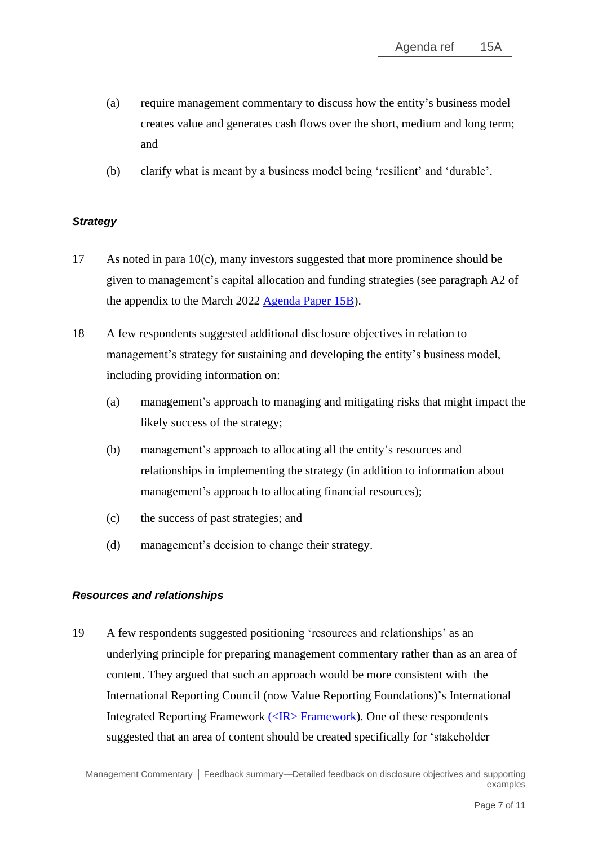- (a) require management commentary to discuss how the entity's business model creates value and generates cash flows over the short, medium and long term; and
- (b) clarify what is meant by a business model being 'resilient' and 'durable'.

# *Strategy*

- 17 As noted in para 10(c), many investors suggested that more prominence should be given to management's capital allocation and funding strategies (see paragraph A2 of the appendix to the March 2022 [Agenda Paper 15B\)](https://www.ifrs.org/content/dam/ifrs/meetings/2022/march/iasb/ap15b-investor-feedback.pdf).
- 18 A few respondents suggested additional disclosure objectives in relation to management's strategy for sustaining and developing the entity's business model, including providing information on:
	- (a) management's approach to managing and mitigating risks that might impact the likely success of the strategy;
	- (b) management's approach to allocating all the entity's resources and relationships in implementing the strategy (in addition to information about management's approach to allocating financial resources);
	- (c) the success of past strategies; and
	- (d) management's decision to change their strategy.

# *Resources and relationships*

19 A few respondents suggested positioning 'resources and relationships' as an underlying principle for preparing management commentary rather than as an area of content. They argued that such an approach would be more consistent with the International Reporting Council (now Value Reporting Foundations)'s International Integrated Reporting Framework [\(<IR> Framework\)](https://www.integratedreporting.org/wp-content/uploads/2021/01/InternationalIntegratedReportingFramework.pdf). One of these respondents suggested that an area of content should be created specifically for 'stakeholder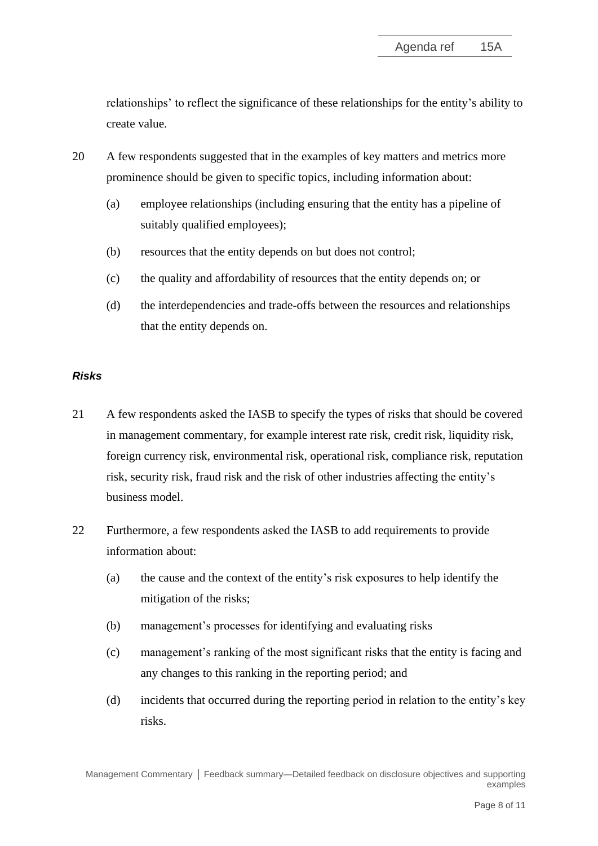relationships' to reflect the significance of these relationships for the entity's ability to create value.

- 20 A few respondents suggested that in the examples of key matters and metrics more prominence should be given to specific topics, including information about:
	- (a) employee relationships (including ensuring that the entity has a pipeline of suitably qualified employees);
	- (b) resources that the entity depends on but does not control;
	- (c) the quality and affordability of resources that the entity depends on; or
	- (d) the interdependencies and trade-offs between the resources and relationships that the entity depends on.

# *Risks*

- 21 A few respondents asked the IASB to specify the types of risks that should be covered in management commentary, for example interest rate risk, credit risk, liquidity risk, foreign currency risk, environmental risk, operational risk, compliance risk, reputation risk, security risk, fraud risk and the risk of other industries affecting the entity's business model.
- 22 Furthermore, a few respondents asked the IASB to add requirements to provide information about:
	- (a) the cause and the context of the entity's risk exposures to help identify the mitigation of the risks;
	- (b) management's processes for identifying and evaluating risks
	- (c) management's ranking of the most significant risks that the entity is facing and any changes to this ranking in the reporting period; and
	- (d) incidents that occurred during the reporting period in relation to the entity's key risks.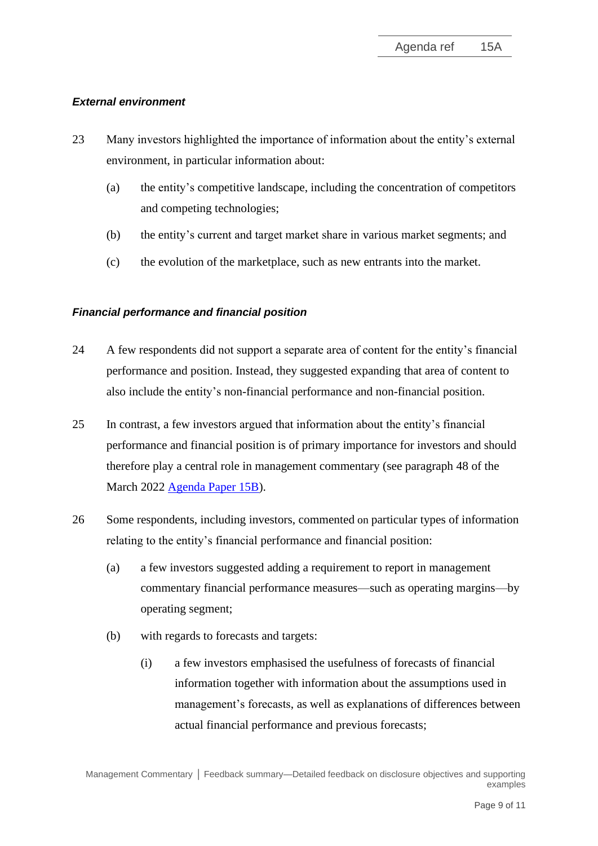### *External environment*

- 23 Many investors highlighted the importance of information about the entity's external environment, in particular information about:
	- (a) the entity's competitive landscape, including the concentration of competitors and competing technologies;
	- (b) the entity's current and target market share in various market segments; and
	- (c) the evolution of the marketplace, such as new entrants into the market.

# *Financial performance and financial position*

- 24 A few respondents did not support a separate area of content for the entity's financial performance and position. Instead, they suggested expanding that area of content to also include the entity's non-financial performance and non-financial position.
- 25 In contrast, a few investors argued that information about the entity's financial performance and financial position is of primary importance for investors and should therefore play a central role in management commentary (see paragraph 48 of the March 2022 [Agenda Paper 15B\)](https://www.ifrs.org/content/dam/ifrs/meetings/2022/march/iasb/ap15b-investor-feedback.pdf).
- 26 Some respondents, including investors, commented on particular types of information relating to the entity's financial performance and financial position:
	- (a) a few investors suggested adding a requirement to report in management commentary financial performance measures—such as operating margins—by operating segment;
	- (b) with regards to forecasts and targets:
		- (i) a few investors emphasised the usefulness of forecasts of financial information together with information about the assumptions used in management's forecasts, as well as explanations of differences between actual financial performance and previous forecasts;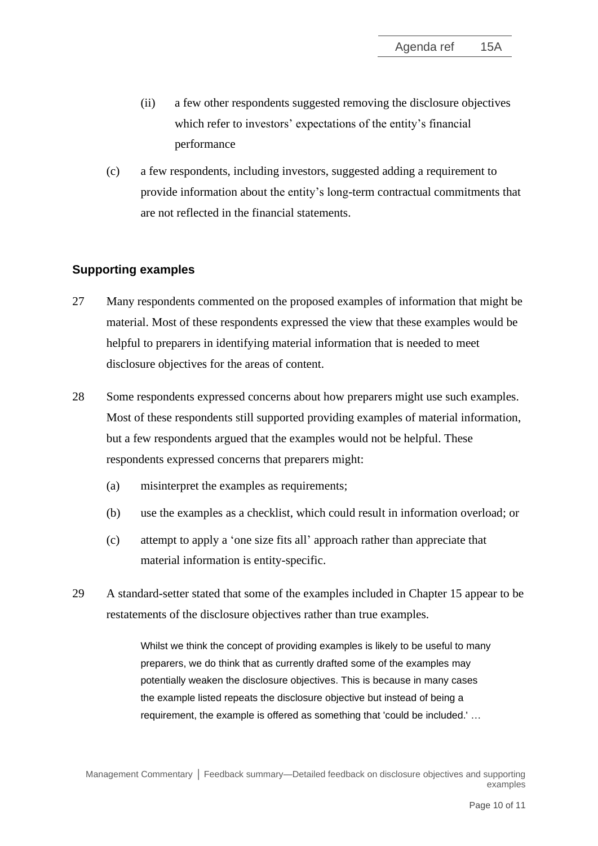- (ii) a few other respondents suggested removing the disclosure objectives which refer to investors' expectations of the entity's financial performance
- (c) a few respondents, including investors, suggested adding a requirement to provide information about the entity's long-term contractual commitments that are not reflected in the financial statements.

# **Supporting examples**

- 27 Many respondents commented on the proposed examples of information that might be material. Most of these respondents expressed the view that these examples would be helpful to preparers in identifying material information that is needed to meet disclosure objectives for the areas of content.
- 28 Some respondents expressed concerns about how preparers might use such examples. Most of these respondents still supported providing examples of material information, but a few respondents argued that the examples would not be helpful. These respondents expressed concerns that preparers might:
	- (a) misinterpret the examples as requirements;
	- (b) use the examples as a checklist, which could result in information overload; or
	- (c) attempt to apply a 'one size fits all' approach rather than appreciate that material information is entity-specific.
- 29 A standard-setter stated that some of the examples included in Chapter 15 appear to be restatements of the disclosure objectives rather than true examples.

Whilst we think the concept of providing examples is likely to be useful to many preparers, we do think that as currently drafted some of the examples may potentially weaken the disclosure objectives. This is because in many cases the example listed repeats the disclosure objective but instead of being a requirement, the example is offered as something that 'could be included.' …